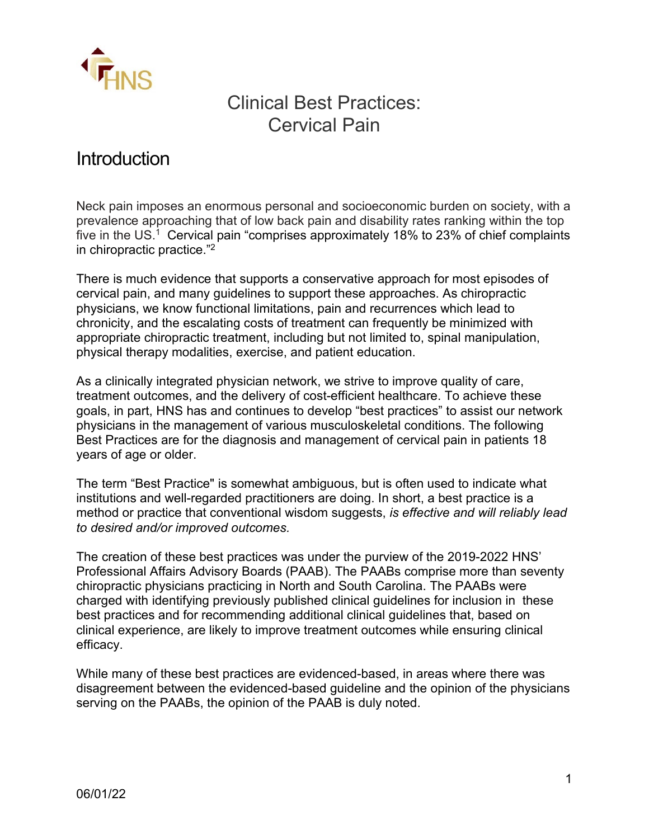

# Clinical Best Practices: Cervical Pain

# **Introduction**

Neck pain imposes an enormous personal and socioeconomic burden on society, with a prevalence approaching that of low back pain and disability rates ranking within the top five in the US.<sup>1</sup> Cervical pain "comprises approximately 18% to 23% of chief complaints in chiropractic practice."2

There is much evidence that supports a conservative approach for most episodes of cervical pain, and many guidelines to support these approaches. As chiropractic physicians, we know functional limitations, pain and recurrences which lead to chronicity, and the escalating costs of treatment can frequently be minimized with appropriate chiropractic treatment, including but not limited to, spinal manipulation, physical therapy modalities, exercise, and patient education.

As a clinically integrated physician network, we strive to improve quality of care, treatment outcomes, and the delivery of cost-efficient healthcare. To achieve these goals, in part, HNS has and continues to develop "best practices" to assist our network physicians in the management of various musculoskeletal conditions. The following Best Practices are for the diagnosis and management of cervical pain in patients 18 years of age or older.

The term "Best Practice" is somewhat ambiguous, but is often used to indicate what institutions and well-regarded practitioners are doing. In short, a best practice is a method or practice that conventional wisdom suggests, *is effective and will reliably lead to desired and/or improved outcomes.* 

The creation of these best practices was under the purview of the 2019-2022 HNS' Professional Affairs Advisory Boards (PAAB). The PAABs comprise more than seventy chiropractic physicians practicing in North and South Carolina. The PAABs were charged with identifying previously published clinical guidelines for inclusion in these best practices and for recommending additional clinical guidelines that, based on clinical experience, are likely to improve treatment outcomes while ensuring clinical efficacy.

While many of these best practices are evidenced-based, in areas where there was disagreement between the evidenced-based guideline and the opinion of the physicians serving on the PAABs, the opinion of the PAAB is duly noted.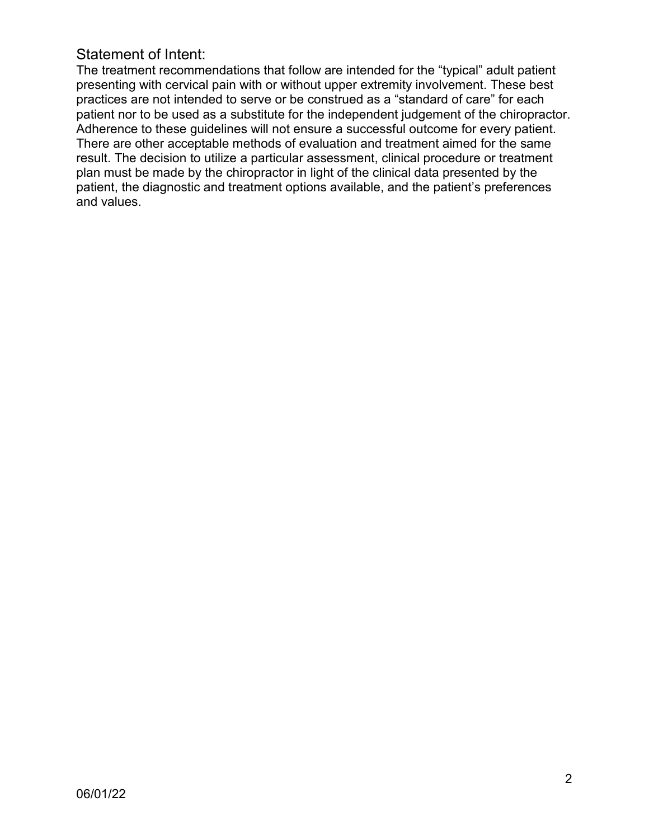# Statement of Intent:

The treatment recommendations that follow are intended for the "typical" adult patient presenting with cervical pain with or without upper extremity involvement. These best practices are not intended to serve or be construed as a "standard of care" for each patient nor to be used as a substitute for the independent judgement of the chiropractor. Adherence to these guidelines will not ensure a successful outcome for every patient. There are other acceptable methods of evaluation and treatment aimed for the same result. The decision to utilize a particular assessment, clinical procedure or treatment plan must be made by the chiropractor in light of the clinical data presented by the patient, the diagnostic and treatment options available, and the patient's preferences and values.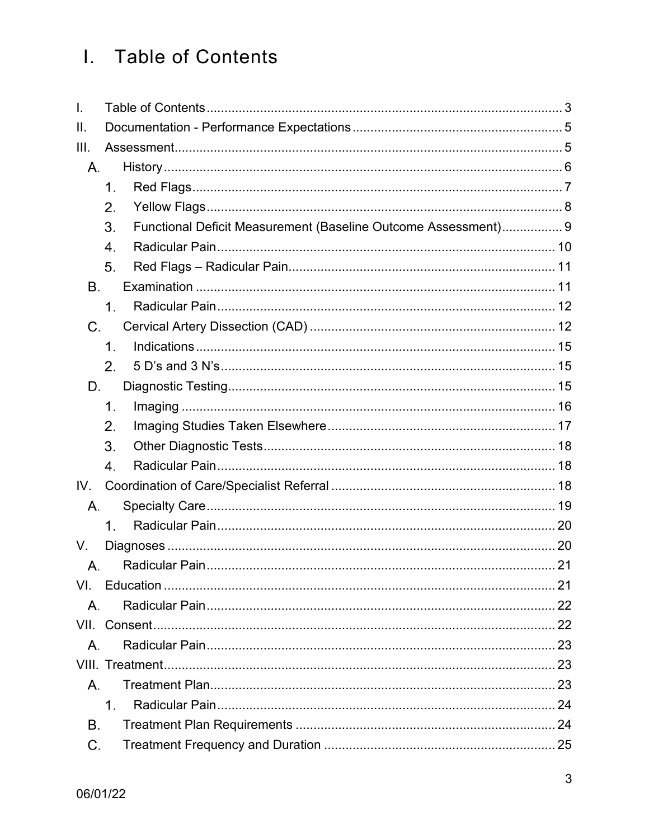# <span id="page-2-0"></span>I. Table of Contents

| I.        |                  |                                                                |  |
|-----------|------------------|----------------------------------------------------------------|--|
| Ш.        |                  |                                                                |  |
| III.      |                  |                                                                |  |
| Α.        |                  |                                                                |  |
|           | 1.               |                                                                |  |
|           | 2.               |                                                                |  |
|           | 3.               | Functional Deficit Measurement (Baseline Outcome Assessment) 9 |  |
|           | 4.               |                                                                |  |
|           | 5.               |                                                                |  |
| <b>B.</b> |                  |                                                                |  |
|           | 1.               |                                                                |  |
| C.        |                  |                                                                |  |
|           | 1.               |                                                                |  |
|           | 2.               |                                                                |  |
| D.        |                  |                                                                |  |
|           | $\mathbf 1$ .    |                                                                |  |
|           | 2.               |                                                                |  |
|           | 3.               |                                                                |  |
|           | $\overline{4}$ . |                                                                |  |
| IV.       |                  |                                                                |  |
| Α.        |                  |                                                                |  |
|           | 1.               |                                                                |  |
| V.        |                  |                                                                |  |
| А.        |                  |                                                                |  |
| VI.       |                  |                                                                |  |
| Α.        |                  |                                                                |  |
|           |                  |                                                                |  |
| Α.        |                  |                                                                |  |
|           |                  |                                                                |  |
| Α.        |                  |                                                                |  |
|           | 1 <sub>1</sub>   |                                                                |  |
| Β.        |                  |                                                                |  |
| C.        |                  |                                                                |  |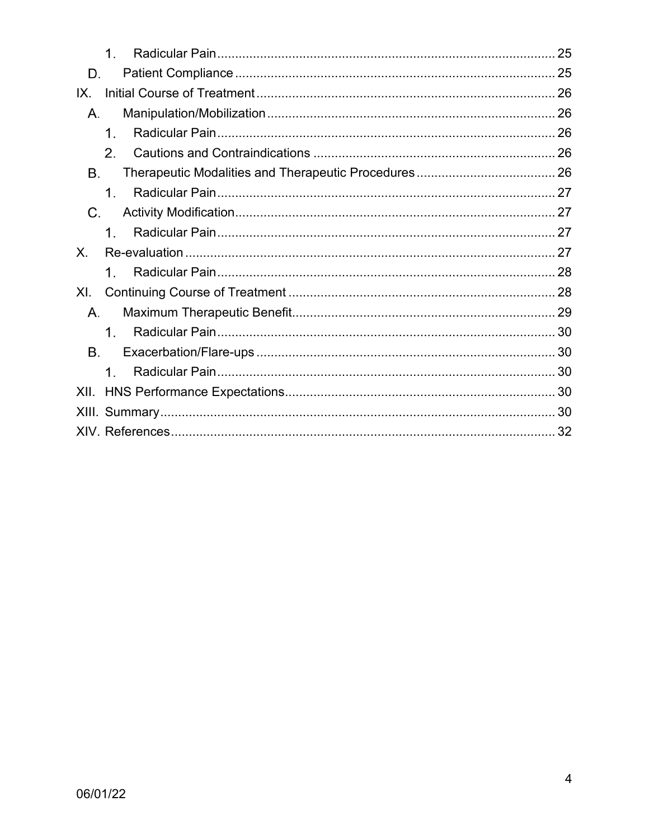|                | $\mathbf 1$ .  |  |
|----------------|----------------|--|
| D.             |                |  |
| IX.            |                |  |
| Α.             |                |  |
|                | 1.             |  |
|                | 2.             |  |
| Β.             |                |  |
|                | 1 <sub>1</sub> |  |
| $C_{\cdot}$    |                |  |
|                | $1_{.}$        |  |
|                |                |  |
| $X_{\cdot}$    |                |  |
|                | 1.             |  |
| X <sub>L</sub> |                |  |
| Α.             |                |  |
|                | 1 <sub>1</sub> |  |
| Β.             |                |  |
|                | $1_{\cdot}$    |  |
| XII.           |                |  |
|                |                |  |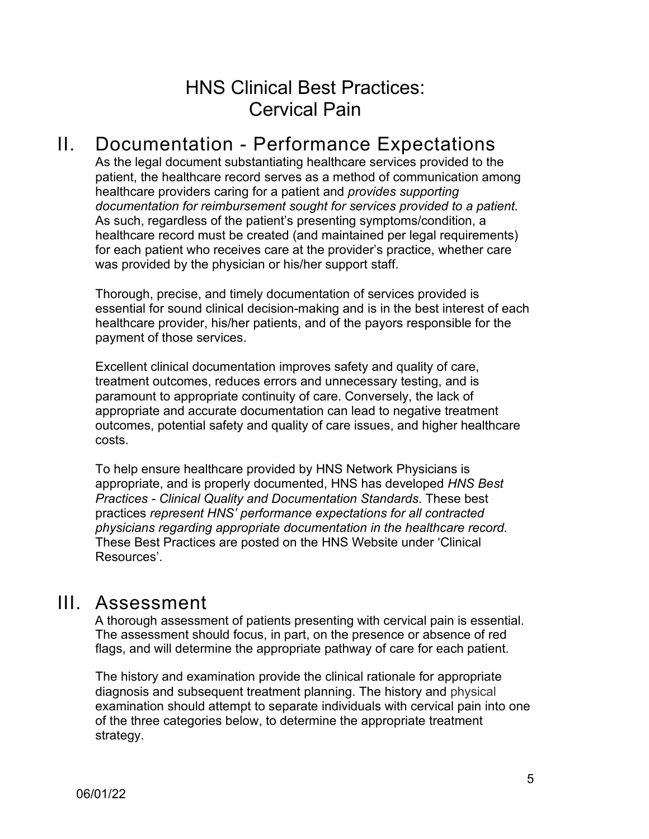# HNS Clinical Best Practices: Cervical Pain

# II. Documentation - Performance Expectations

<span id="page-4-0"></span>As the legal document substantiating healthcare services provided to the patient, the healthcare record serves as a method of communication among healthcare providers caring for a patient and *provides supporting documentation for reimbursement sought for services provided to a patient.* As such, regardless of the patient's presenting symptoms/condition, a healthcare record must be created (and maintained per legal requirements) for each patient who receives care at the provider's practice, whether care was provided by the physician or his/her support staff.

Thorough, precise, and timely documentation of services provided is essential for sound clinical decision-making and is in the best interest of each healthcare provider, his/her patients, and of the payors responsible for the payment of those services.

Excellent clinical documentation improves safety and quality of care, treatment outcomes, reduces errors and unnecessary testing, and is paramount to appropriate continuity of care. Conversely, the lack of appropriate and accurate documentation can lead to negative treatment outcomes, potential safety and quality of care issues, and higher healthcare costs.

To help ensure healthcare provided by HNS Network Physicians is appropriate, and is properly documented, HNS has developed *HNS Best Practices - Clinical Quality and Documentation Standards*. These best practices *represent HNS' performance expectations for all contracted physicians regarding appropriate documentation in the healthcare record.* These Best Practices are posted on the HNS Website under 'Clinical Resources'.

# <span id="page-4-1"></span>III. Assessment

A thorough assessment of patients presenting with cervical pain is essential. The assessment should focus, in part, on the presence or absence of red flags, and will determine the appropriate pathway of care for each patient.

The history and examination provide the clinical rationale for appropriate diagnosis and subsequent treatment planning. The history and physical examination should attempt to separate individuals with cervical pain into one of the three categories below, to determine the appropriate treatment strategy.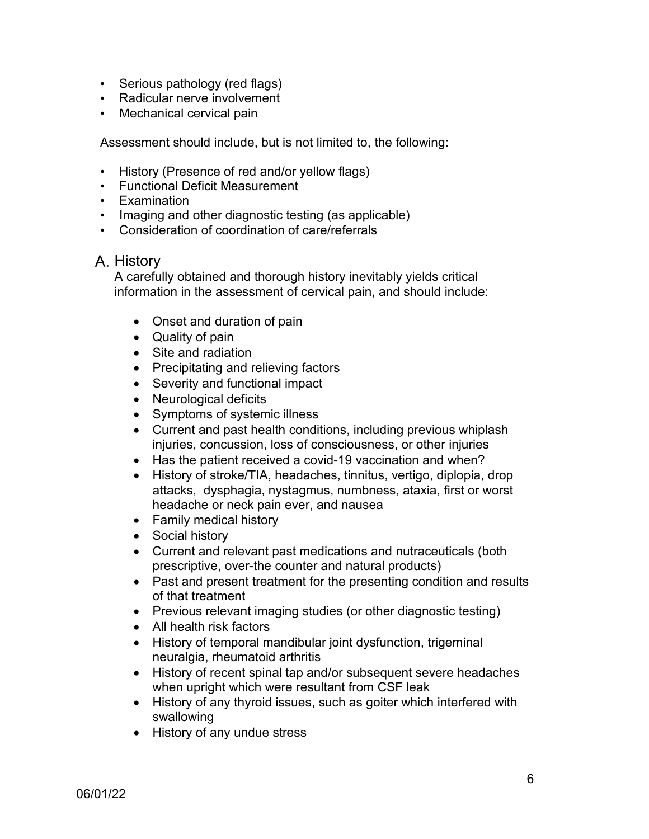- Serious pathology (red flags)
- Radicular nerve involvement
- Mechanical cervical pain

Assessment should include, but is not limited to, the following:

- History (Presence of red and/or yellow flags)
- Functional Deficit Measurement
- Examination
- Imaging and other diagnostic testing (as applicable)
- Consideration of coordination of care/referrals

# <span id="page-5-0"></span>A. History

A carefully obtained and thorough history inevitably yields critical information in the assessment of cervical pain, and should include:

- Onset and duration of pain
- Quality of pain
- Site and radiation
- Precipitating and relieving factors
- Severity and functional impact
- Neurological deficits
- Symptoms of systemic illness
- Current and past health conditions, including previous whiplash injuries, concussion, loss of consciousness, or other injuries
- Has the patient received a covid-19 vaccination and when?
- History of stroke/TIA, headaches, tinnitus, vertigo, diplopia, drop attacks, dysphagia, nystagmus, numbness, ataxia, first or worst headache or neck pain ever, and nausea
- Family medical history
- Social history
- Current and relevant past medications and nutraceuticals (both prescriptive, over-the counter and natural products)
- Past and present treatment for the presenting condition and results of that treatment
- Previous relevant imaging studies (or other diagnostic testing)
- All health risk factors
- History of temporal mandibular joint dysfunction, trigeminal neuralgia, rheumatoid arthritis
- History of recent spinal tap and/or subsequent severe headaches when upright which were resultant from CSF leak
- History of any thyroid issues, such as goiter which interfered with swallowing
- History of any undue stress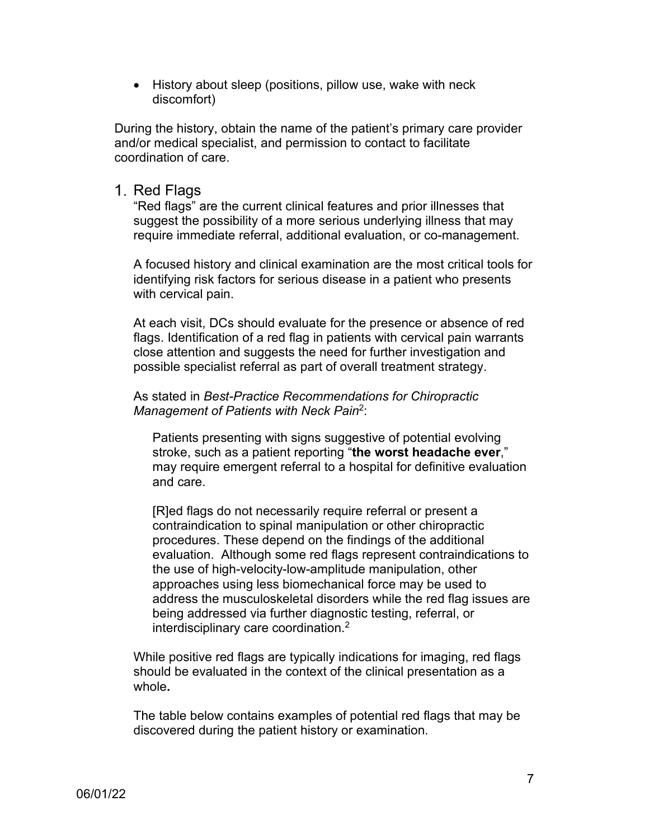• History about sleep (positions, pillow use, wake with neck discomfort)

During the history, obtain the name of the patient's primary care provider and/or medical specialist, and permission to contact to facilitate coordination of care.

#### <span id="page-6-0"></span>1. Red Flags

"Red flags" are the current clinical features and prior illnesses that suggest the possibility of a more serious underlying illness that may require immediate referral, additional evaluation, or co-management.

A focused history and clinical examination are the most critical tools for identifying risk factors for serious disease in a patient who presents with cervical pain.

At each visit, DCs should evaluate for the presence or absence of red flags. Identification of a red flag in patients with cervical pain warrants close attention and suggests the need for further investigation and possible specialist referral as part of overall treatment strategy.

As stated in *Best-Practice Recommendations for Chiropractic Management of Patients with Neck Pain*2:

Patients presenting with signs suggestive of potential evolving stroke, such as a patient reporting "**the worst headache ever**," may require emergent referral to a hospital for definitive evaluation and care.

[R]ed flags do not necessarily require referral or present a contraindication to spinal manipulation or other chiropractic procedures. These depend on the findings of the additional evaluation. Although some red flags represent contraindications to the use of high-velocity-low-amplitude manipulation, other approaches using less biomechanical force may be used to address the musculoskeletal disorders while the red flag issues are being addressed via further diagnostic testing, referral, or interdisciplinary care coordination. $^2$ 

While positive red flags are typically indications for imaging, red flags should be evaluated in the context of the clinical presentation as a whole**.**

The table below contains examples of potential red flags that may be discovered during the patient history or examination.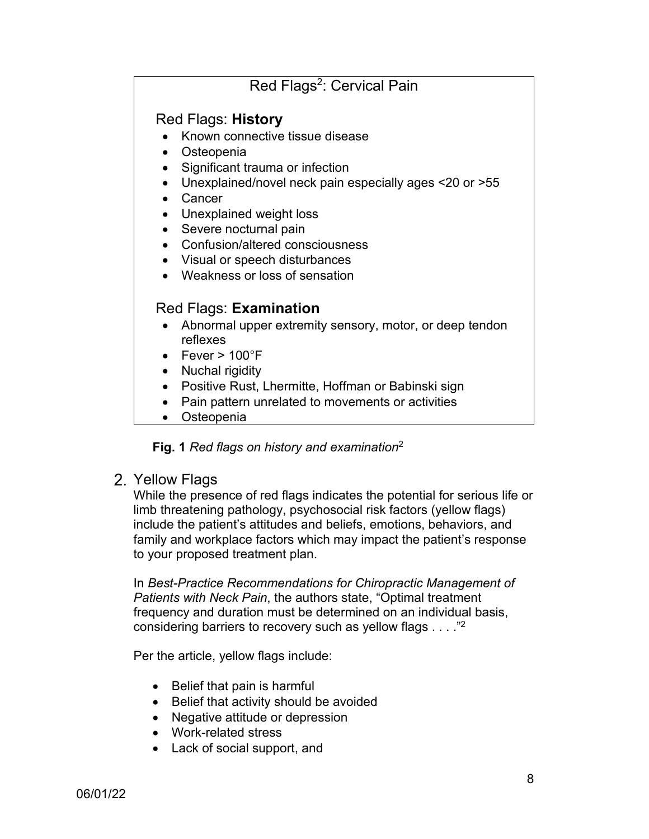# Red Flags<sup>2</sup>: Cervical Pain

# Red Flags: **History**

- Known connective tissue disease
- Osteopenia
- Significant trauma or infection
- Unexplained/novel neck pain especially ages <20 or >55
- Cancer
- Unexplained weight loss
- Severe nocturnal pain
- Confusion/altered consciousness
- Visual or speech disturbances
- Weakness or loss of sensation

# Red Flags: **Examination**

- Abnormal upper extremity sensory, motor, or deep tendon reflexes
- Fever  $> 100^{\circ}$ F
- Nuchal rigidity
- Positive Rust, Lhermitte, Hoffman or Babinski sign
- Pain pattern unrelated to movements or activities
- Osteopenia

**Fig. 1** *Red flags on history and examination*<sup>2</sup>

## <span id="page-7-0"></span>2. Yellow Flags

While the presence of red flags indicates the potential for serious life or limb threatening pathology, psychosocial risk factors (yellow flags) include the patient's attitudes and beliefs, emotions, behaviors, and family and workplace factors which may impact the patient's response to your proposed treatment plan.

In *Best-Practice Recommendations for Chiropractic Management of Patients with Neck Pain*, the authors state, "Optimal treatment frequency and duration must be determined on an individual basis, considering barriers to recovery such as yellow flags . . . ."2

Per the article, yellow flags include:

- Belief that pain is harmful
- Belief that activity should be avoided
- Negative attitude or depression
- Work-related stress
- Lack of social support, and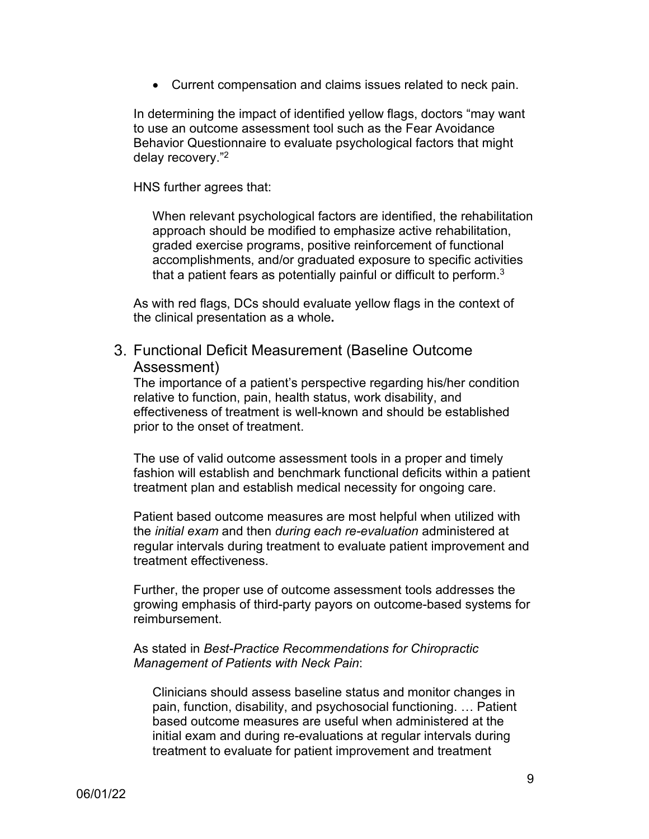• Current compensation and claims issues related to neck pain.

In determining the impact of identified yellow flags, doctors "may want to use an outcome assessment tool such as the Fear Avoidance Behavior Questionnaire to evaluate psychological factors that might delay recovery."2

HNS further agrees that:

When relevant psychological factors are identified, the rehabilitation approach should be modified to emphasize active rehabilitation, graded exercise programs, positive reinforcement of functional accomplishments, and/or graduated exposure to specific activities that a patient fears as potentially painful or difficult to perform.<sup>3</sup>

As with red flags, DCs should evaluate yellow flags in the context of the clinical presentation as a whole**.** 

## <span id="page-8-0"></span>Functional Deficit Measurement (Baseline Outcome Assessment)

The importance of a patient's perspective regarding his/her condition relative to function, pain, health status, work disability, and effectiveness of treatment is well-known and should be established prior to the onset of treatment.

The use of valid outcome assessment tools in a proper and timely fashion will establish and benchmark functional deficits within a patient treatment plan and establish medical necessity for ongoing care.

Patient based outcome measures are most helpful when utilized with the *initial exam* and then *during each re-evaluation* administered at regular intervals during treatment to evaluate patient improvement and treatment effectiveness.

Further, the proper use of outcome assessment tools addresses the growing emphasis of third-party payors on outcome-based systems for reimbursement.

#### As stated in *Best-Practice Recommendations for Chiropractic Management of Patients with Neck Pain*:

Clinicians should assess baseline status and monitor changes in pain, function, disability, and psychosocial functioning. … Patient based outcome measures are useful when administered at the initial exam and during re-evaluations at regular intervals during treatment to evaluate for patient improvement and treatment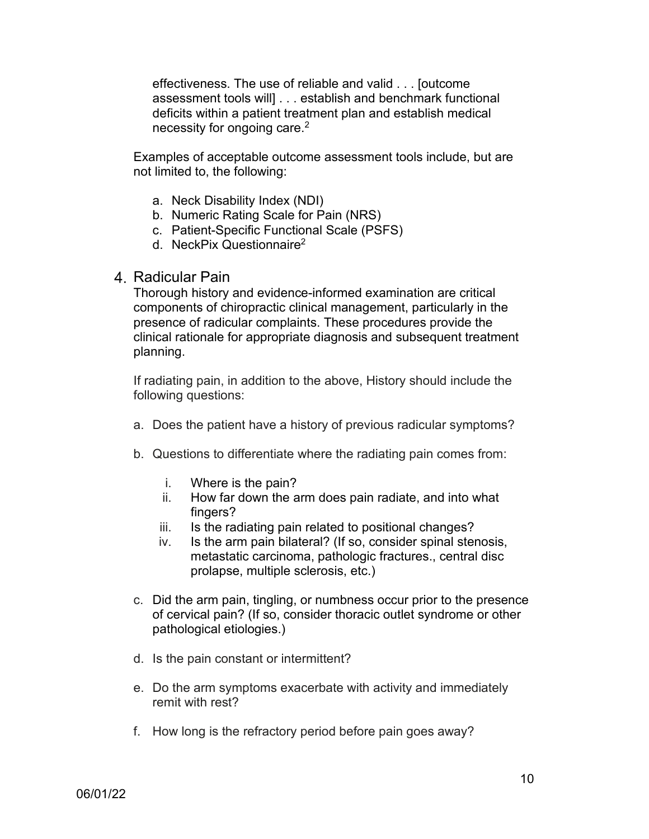effectiveness. The use of reliable and valid . . . [outcome assessment tools will] . . . establish and benchmark functional deficits within a patient treatment plan and establish medical necessity for ongoing care.<sup>2</sup>

Examples of acceptable outcome assessment tools include, but are not limited to, the following:

- a. Neck Disability Index (NDI)
- b. Numeric Rating Scale for Pain (NRS)
- c. Patient-Specific Functional Scale (PSFS)
- d. NeckPix Questionnaire2

#### <span id="page-9-0"></span>Radicular Pain

Thorough history and evidence-informed examination are critical components of chiropractic clinical management, particularly in the presence of radicular complaints. These procedures provide the clinical rationale for appropriate diagnosis and subsequent treatment planning.

If radiating pain, in addition to the above, History should include the following questions:

- a. Does the patient have a history of previous radicular symptoms?
- b. Questions to differentiate where the radiating pain comes from:
	- i. Where is the pain?
	- ii. How far down the arm does pain radiate, and into what fingers?
	- iii. Is the radiating pain related to positional changes?
	- iv. Is the arm pain bilateral? (If so, consider spinal stenosis, metastatic carcinoma, pathologic fractures., central disc prolapse, multiple sclerosis, etc.)
- c. Did the arm pain, tingling, or numbness occur prior to the presence of cervical pain? (If so, consider thoracic outlet syndrome or other pathological etiologies.)
- d. Is the pain constant or intermittent?
- e. Do the arm symptoms exacerbate with activity and immediately remit with rest?
- f. How long is the refractory period before pain goes away?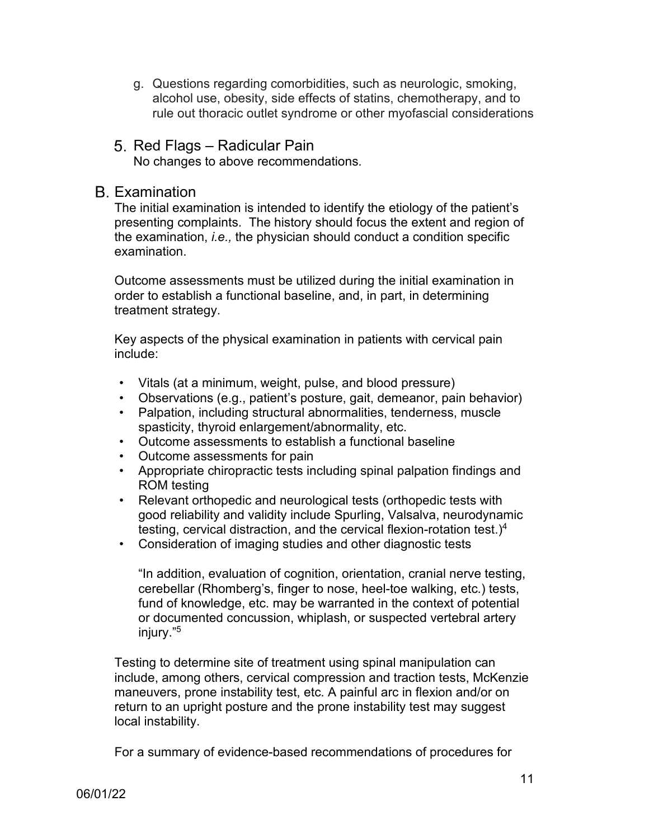- g. Questions regarding comorbidities, such as neurologic, smoking, alcohol use, obesity, side effects of statins, chemotherapy, and to rule out thoracic outlet syndrome or other myofascial considerations
- <span id="page-10-0"></span>5. Red Flags – Radicular Pain No changes to above recommendations.

## <span id="page-10-1"></span>Examination

The initial examination is intended to identify the etiology of the patient's presenting complaints. The history should focus the extent and region of the examination, *i.e.,* the physician should conduct a condition specific examination.

Outcome assessments must be utilized during the initial examination in order to establish a functional baseline, and, in part, in determining treatment strategy.

Key aspects of the physical examination in patients with cervical pain include:

- Vitals (at a minimum, weight, pulse, and blood pressure)
- Observations (e.g., patient's posture, gait, demeanor, pain behavior)
- Palpation, including structural abnormalities, tenderness, muscle spasticity, thyroid enlargement/abnormality, etc.
- Outcome assessments to establish a functional baseline
- Outcome assessments for pain
- Appropriate chiropractic tests including spinal palpation findings and ROM testing
- Relevant orthopedic and neurological tests (orthopedic tests with good reliability and validity include Spurling, Valsalva, neurodynamic testing, cervical distraction, and the cervical flexion-rotation test.)4
- Consideration of imaging studies and other diagnostic tests

"In addition, evaluation of cognition, orientation, cranial nerve testing, cerebellar (Rhomberg's, finger to nose, heel-toe walking, etc.) tests, fund of knowledge, etc. may be warranted in the context of potential or documented concussion, whiplash, or suspected vertebral artery injury." 5

Testing to determine site of treatment using spinal manipulation can include, among others, cervical compression and traction tests, McKenzie maneuvers, prone instability test, etc. A painful arc in flexion and/or on return to an upright posture and the prone instability test may suggest local instability.

For a summary of evidence-based recommendations of procedures for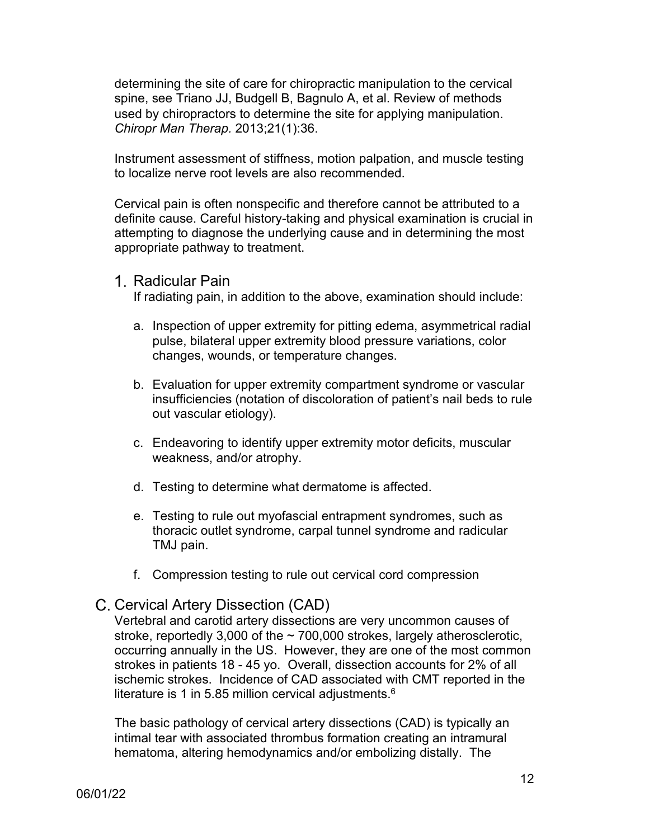determining the site of care for chiropractic manipulation to the cervical spine, see Triano JJ, Budgell B, Bagnulo A, et al. Review of methods used by chiropractors to determine the site for applying manipulation. *Chiropr Man Therap.* 2013;21(1):36.

Instrument assessment of stiffness, motion palpation, and muscle testing to localize nerve root levels are also recommended.

Cervical pain is often nonspecific and therefore cannot be attributed to a definite cause. Careful history-taking and physical examination is crucial in attempting to diagnose the underlying cause and in determining the most appropriate pathway to treatment.

<span id="page-11-0"></span>1. Radicular Pain

If radiating pain, in addition to the above, examination should include:

- a. Inspection of upper extremity for pitting edema, asymmetrical radial pulse, bilateral upper extremity blood pressure variations, color changes, wounds, or temperature changes.
- b. Evaluation for upper extremity compartment syndrome or vascular insufficiencies (notation of discoloration of patient's nail beds to rule out vascular etiology).
- c. Endeavoring to identify upper extremity motor deficits, muscular weakness, and/or atrophy.
- d. Testing to determine what dermatome is affected.
- e. Testing to rule out myofascial entrapment syndromes, such as thoracic outlet syndrome, carpal tunnel syndrome and radicular TMJ pain.
- f. Compression testing to rule out cervical cord compression

# <span id="page-11-1"></span>C. Cervical Artery Dissection (CAD)

Vertebral and carotid artery dissections are very uncommon causes of stroke, reportedly 3,000 of the  $\sim$  700,000 strokes, largely atherosclerotic, occurring annually in the US. However, they are one of the most common strokes in patients 18 - 45 yo. Overall, dissection accounts for 2% of all ischemic strokes. Incidence of CAD associated with CMT reported in the literature is 1 in 5.85 million cervical adjustments. $^6$ 

The basic pathology of cervical artery dissections (CAD) is typically an intimal tear with associated thrombus formation creating an intramural hematoma, altering hemodynamics and/or embolizing distally. The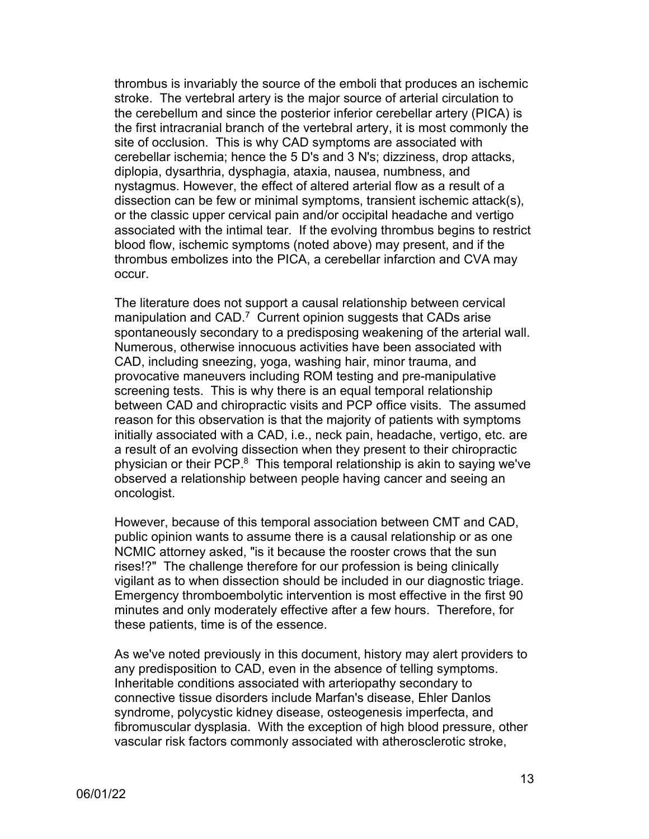thrombus is invariably the source of the emboli that produces an ischemic stroke. The vertebral artery is the major source of arterial circulation to the cerebellum and since the posterior inferior cerebellar artery (PICA) is the first intracranial branch of the vertebral artery, it is most commonly the site of occlusion. This is why CAD symptoms are associated with cerebellar ischemia; hence the 5 D's and 3 N's; dizziness, drop attacks, diplopia, dysarthria, dysphagia, ataxia, nausea, numbness, and nystagmus. However, the effect of altered arterial flow as a result of a dissection can be few or minimal symptoms, transient ischemic attack(s), or the classic upper cervical pain and/or occipital headache and vertigo associated with the intimal tear. If the evolving thrombus begins to restrict blood flow, ischemic symptoms (noted above) may present, and if the thrombus embolizes into the PICA, a cerebellar infarction and CVA may occur.

The literature does not support a causal relationship between cervical manipulation and CAD.<sup>7</sup> Current opinion suggests that CADs arise spontaneously secondary to a predisposing weakening of the arterial wall. Numerous, otherwise innocuous activities have been associated with CAD, including sneezing, yoga, washing hair, minor trauma, and provocative maneuvers including ROM testing and pre-manipulative screening tests. This is why there is an equal temporal relationship between CAD and chiropractic visits and PCP office visits. The assumed reason for this observation is that the majority of patients with symptoms initially associated with a CAD, i.e., neck pain, headache, vertigo, etc. are a result of an evolving dissection when they present to their chiropractic physician or their PCP. $^8\,$  This temporal relationship is akin to saying we've observed a relationship between people having cancer and seeing an oncologist.

However, because of this temporal association between CMT and CAD, public opinion wants to assume there is a causal relationship or as one NCMIC attorney asked, "is it because the rooster crows that the sun rises!?" The challenge therefore for our profession is being clinically vigilant as to when dissection should be included in our diagnostic triage. Emergency thromboembolytic intervention is most effective in the first 90 minutes and only moderately effective after a few hours. Therefore, for these patients, time is of the essence.

As we've noted previously in this document, history may alert providers to any predisposition to CAD, even in the absence of telling symptoms. Inheritable conditions associated with arteriopathy secondary to connective tissue disorders include Marfan's disease, Ehler Danlos syndrome, polycystic kidney disease, osteogenesis imperfecta, and fibromuscular dysplasia. With the exception of high blood pressure, other vascular risk factors commonly associated with atherosclerotic stroke,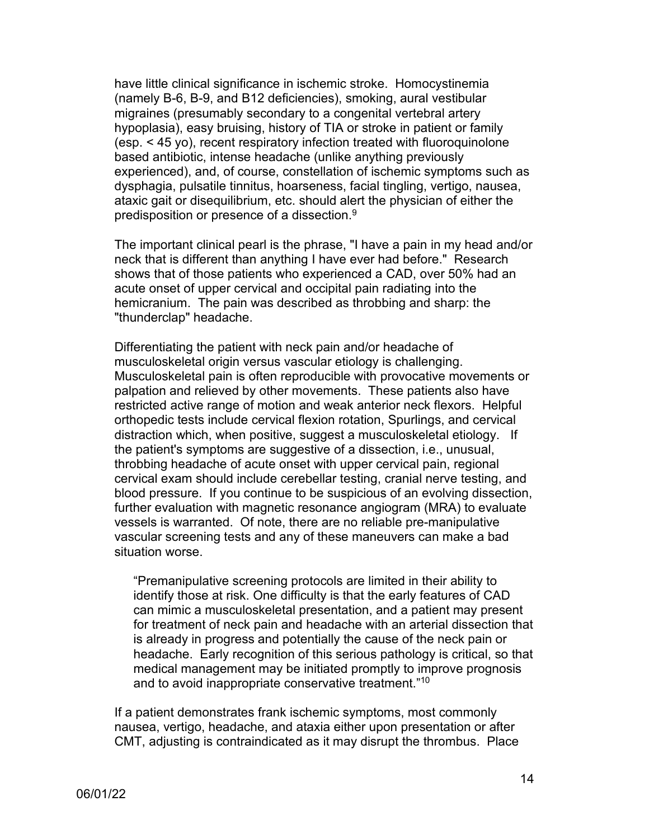have little clinical significance in ischemic stroke. Homocystinemia (namely B-6, B-9, and B12 deficiencies), smoking, aural vestibular migraines (presumably secondary to a congenital vertebral artery hypoplasia), easy bruising, history of TIA or stroke in patient or family (esp. < 45 yo), recent respiratory infection treated with fluoroquinolone based antibiotic, intense headache (unlike anything previously experienced), and, of course, constellation of ischemic symptoms such as dysphagia, pulsatile tinnitus, hoarseness, facial tingling, vertigo, nausea, ataxic gait or disequilibrium, etc. should alert the physician of either the predisposition or presence of a dissection. $^9$ 

The important clinical pearl is the phrase, "I have a pain in my head and/or neck that is different than anything I have ever had before." Research shows that of those patients who experienced a CAD, over 50% had an acute onset of upper cervical and occipital pain radiating into the hemicranium. The pain was described as throbbing and sharp: the "thunderclap" headache.

Differentiating the patient with neck pain and/or headache of musculoskeletal origin versus vascular etiology is challenging. Musculoskeletal pain is often reproducible with provocative movements or palpation and relieved by other movements. These patients also have restricted active range of motion and weak anterior neck flexors. Helpful orthopedic tests include cervical flexion rotation, Spurlings, and cervical distraction which, when positive, suggest a musculoskeletal etiology. If the patient's symptoms are suggestive of a dissection, i.e., unusual, throbbing headache of acute onset with upper cervical pain, regional cervical exam should include cerebellar testing, cranial nerve testing, and blood pressure. If you continue to be suspicious of an evolving dissection, further evaluation with magnetic resonance angiogram (MRA) to evaluate vessels is warranted. Of note, there are no reliable pre-manipulative vascular screening tests and any of these maneuvers can make a bad situation worse.

"Premanipulative screening protocols are limited in their ability to identify those at risk. One difficulty is that the early features of CAD can mimic a musculoskeletal presentation, and a patient may present for treatment of neck pain and headache with an arterial dissection that is already in progress and potentially the cause of the neck pain or headache. Early recognition of this serious pathology is critical, so that medical management may be initiated promptly to improve prognosis and to avoid inappropriate conservative treatment."10

If a patient demonstrates frank ischemic symptoms, most commonly nausea, vertigo, headache, and ataxia either upon presentation or after CMT, adjusting is contraindicated as it may disrupt the thrombus. Place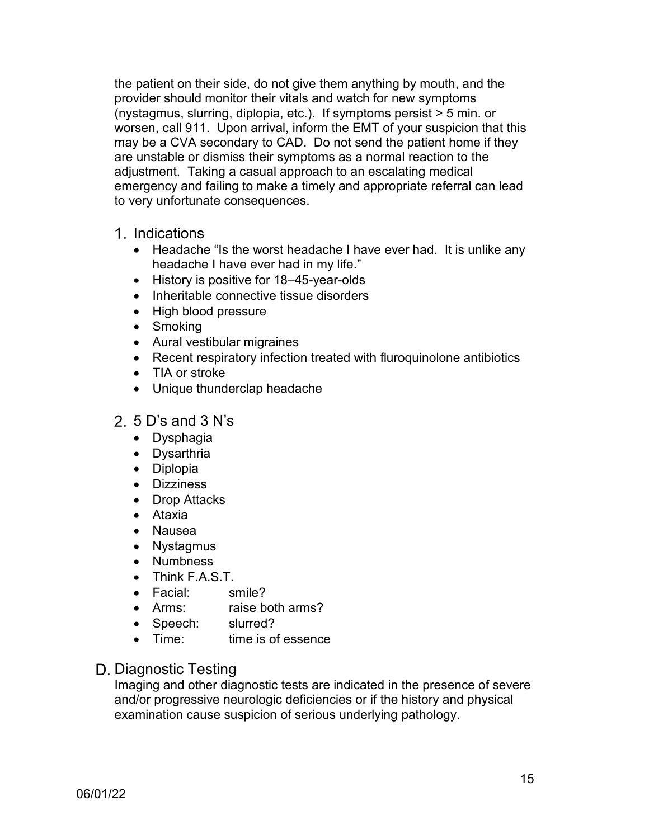the patient on their side, do not give them anything by mouth, and the provider should monitor their vitals and watch for new symptoms (nystagmus, slurring, diplopia, etc.). If symptoms persist > 5 min. or worsen, call 911. Upon arrival, inform the EMT of your suspicion that this may be a CVA secondary to CAD. Do not send the patient home if they are unstable or dismiss their symptoms as a normal reaction to the adjustment. Taking a casual approach to an escalating medical emergency and failing to make a timely and appropriate referral can lead to very unfortunate consequences.

## <span id="page-14-0"></span>1. Indications

- Headache "Is the worst headache I have ever had. It is unlike any headache I have ever had in my life."
- History is positive for 18–45-year-olds
- Inheritable connective tissue disorders
- High blood pressure
- Smoking
- Aural vestibular migraines
- Recent respiratory infection treated with fluroquinolone antibiotics
- TIA or stroke
- Unique thunderclap headache

## <span id="page-14-1"></span>2.  $5$  D's and  $3$  N's

- Dysphagia
- Dysarthria
- Diplopia
- Dizziness
- Drop Attacks
- Ataxia
- Nausea
- Nystagmus
- Numbness
- Think F.A.S.T.
- Facial: smile?
- Arms: raise both arms?
- Speech: slurred?
- Time: time is of essence

## <span id="page-14-2"></span>D. Diagnostic Testing

Imaging and other diagnostic tests are indicated in the presence of severe and/or progressive neurologic deficiencies or if the history and physical examination cause suspicion of serious underlying pathology.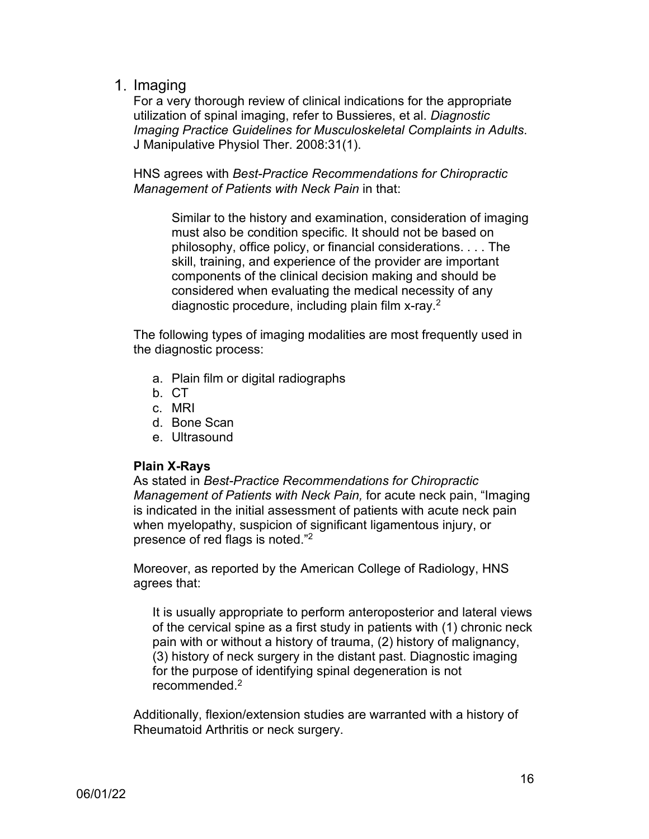<span id="page-15-0"></span>1. Imaging

For a very thorough review of clinical indications for the appropriate utilization of spinal imaging, refer to Bussieres, et al. *Diagnostic Imaging Practice Guidelines for Musculoskeletal Complaints in Adults*. J Manipulative Physiol Ther. 2008:31(1).

HNS agrees with *Best-Practice Recommendations for Chiropractic Management of Patients with Neck Pain* in that:

Similar to the history and examination, consideration of imaging must also be condition specific. It should not be based on philosophy, office policy, or financial considerations. . . . The skill, training, and experience of the provider are important components of the clinical decision making and should be considered when evaluating the medical necessity of any diagnostic procedure, including plain film x-ray.2

The following types of imaging modalities are most frequently used in the diagnostic process:

- a. Plain film or digital radiographs
- b. CT
- c. MRI
- d. Bone Scan
- e. Ultrasound

## **Plain X-Rays**

As stated in *Best-Practice Recommendations for Chiropractic Management of Patients with Neck Pain,* for acute neck pain, "Imaging is indicated in the initial assessment of patients with acute neck pain when myelopathy, suspicion of significant ligamentous injury, or presence of red flags is noted."2

Moreover, as reported by the American College of Radiology, HNS agrees that:

It is usually appropriate to perform anteroposterior and lateral views of the cervical spine as a first study in patients with (1) chronic neck pain with or without a history of trauma, (2) history of malignancy, (3) history of neck surgery in the distant past. Diagnostic imaging for the purpose of identifying spinal degeneration is not recommended $2$ 

Additionally, flexion/extension studies are warranted with a history of Rheumatoid Arthritis or neck surgery.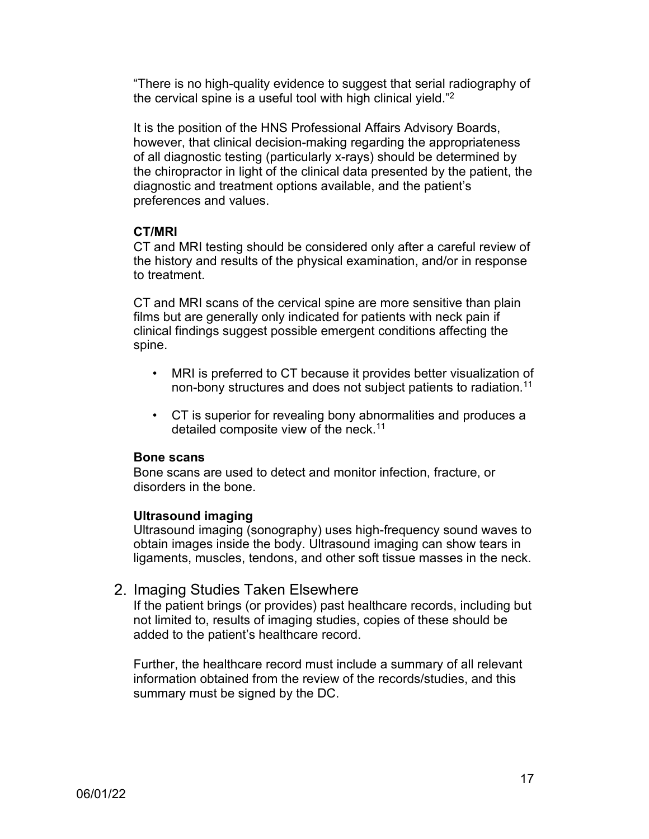"There is no high-quality evidence to suggest that serial radiography of the cervical spine is a useful tool with high clinical yield."2

It is the position of the HNS Professional Affairs Advisory Boards, however, that clinical decision-making regarding the appropriateness of all diagnostic testing (particularly x-rays) should be determined by the chiropractor in light of the clinical data presented by the patient, the diagnostic and treatment options available, and the patient's preferences and values.

#### **CT/MRI**

CT and MRI testing should be considered only after a careful review of the history and results of the physical examination, and/or in response to treatment.

CT and MRI scans of the cervical spine are more sensitive than plain films but are generally only indicated for patients with neck pain if clinical findings suggest possible emergent conditions affecting the spine.

- MRI is preferred to CT because it provides better visualization of non-bony structures and does not subject patients to radiation. 11
- CT is superior for revealing bony abnormalities and produces a detailed composite view of the neck.11

#### **Bone scans**

Bone scans are used to detect and monitor infection, fracture, or disorders in the bone.

## **Ultrasound imaging**

Ultrasound imaging (sonography) uses high-frequency sound waves to obtain images inside the body. Ultrasound imaging can show tears in ligaments, muscles, tendons, and other soft tissue masses in the neck.

## <span id="page-16-0"></span>2. Imaging Studies Taken Elsewhere

If the patient brings (or provides) past healthcare records, including but not limited to, results of imaging studies, copies of these should be added to the patient's healthcare record.

Further, the healthcare record must include a summary of all relevant information obtained from the review of the records/studies, and this summary must be signed by the DC.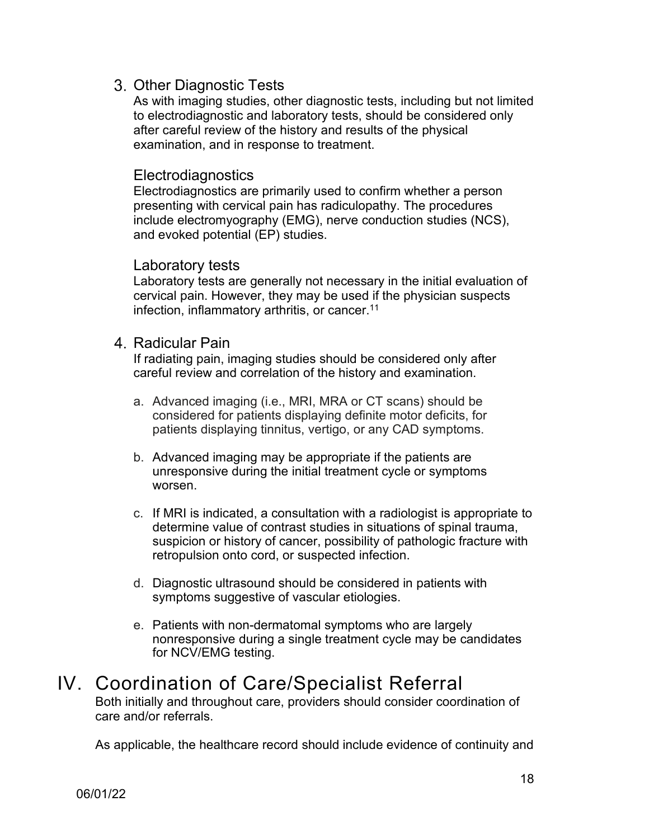## <span id="page-17-0"></span>Other Diagnostic Tests

As with imaging studies, other diagnostic tests, including but not limited to electrodiagnostic and laboratory tests, should be considered only after careful review of the history and results of the physical examination, and in response to treatment.

### Electrodiagnostics

Electrodiagnostics are primarily used to confirm whether a person presenting with cervical pain has radiculopathy. The procedures include electromyography (EMG), nerve conduction studies (NCS), and evoked potential (EP) studies.

#### Laboratory tests

Laboratory tests are generally not necessary in the initial evaluation of cervical pain. However, they may be used if the physician suspects infection, inflammatory arthritis, or cancer.<sup>11</sup>

#### <span id="page-17-1"></span>4. Radicular Pain

If radiating pain, imaging studies should be considered only after careful review and correlation of the history and examination.

- a. Advanced imaging (i.e., MRI, MRA or CT scans) should be considered for patients displaying definite motor deficits, for patients displaying tinnitus, vertigo, or any CAD symptoms.
- b. Advanced imaging may be appropriate if the patients are unresponsive during the initial treatment cycle or symptoms worsen.
- c. If MRI is indicated, a consultation with a radiologist is appropriate to determine value of contrast studies in situations of spinal trauma, suspicion or history of cancer, possibility of pathologic fracture with retropulsion onto cord, or suspected infection.
- d. Diagnostic ultrasound should be considered in patients with symptoms suggestive of vascular etiologies.
- e. Patients with non-dermatomal symptoms who are largely nonresponsive during a single treatment cycle may be candidates for NCV/EMG testing.

# <span id="page-17-2"></span>IV. Coordination of Care/Specialist Referral

Both initially and throughout care, providers should consider coordination of care and/or referrals.

As applicable, the healthcare record should include evidence of continuity and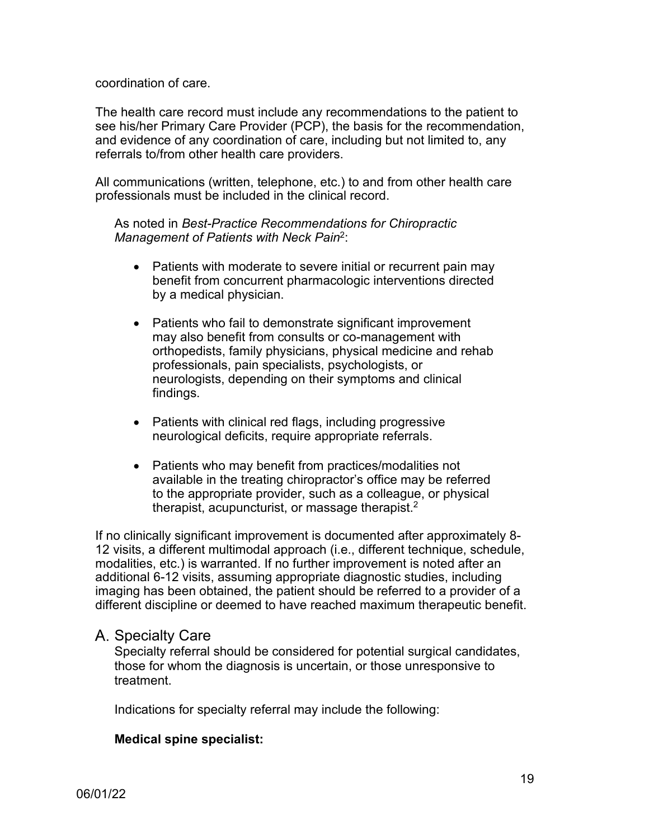#### coordination of care.

The health care record must include any recommendations to the patient to see his/her Primary Care Provider (PCP), the basis for the recommendation, and evidence of any coordination of care, including but not limited to, any referrals to/from other health care providers.

All communications (written, telephone, etc.) to and from other health care professionals must be included in the clinical record.

As noted in *Best-Practice Recommendations for Chiropractic Management of Patients with Neck Pain*2:

- Patients with moderate to severe initial or recurrent pain may benefit from concurrent pharmacologic interventions directed by a medical physician.
- Patients who fail to demonstrate significant improvement may also benefit from consults or co-management with orthopedists, family physicians, physical medicine and rehab professionals, pain specialists, psychologists, or neurologists, depending on their symptoms and clinical findings.
- Patients with clinical red flags, including progressive neurological deficits, require appropriate referrals.
- Patients who may benefit from practices/modalities not available in the treating chiropractor's office may be referred to the appropriate provider, such as a colleague, or physical therapist, acupuncturist, or massage therapist.<sup>2</sup>

If no clinically significant improvement is documented after approximately 8- 12 visits, a different multimodal approach (i.e., different technique, schedule, modalities, etc.) is warranted. If no further improvement is noted after an additional 6-12 visits, assuming appropriate diagnostic studies, including imaging has been obtained, the patient should be referred to a provider of a different discipline or deemed to have reached maximum therapeutic benefit.

#### <span id="page-18-0"></span>A. Specialty Care

Specialty referral should be considered for potential surgical candidates, those for whom the diagnosis is uncertain, or those unresponsive to treatment.

Indications for specialty referral may include the following:

#### **Medical spine specialist:**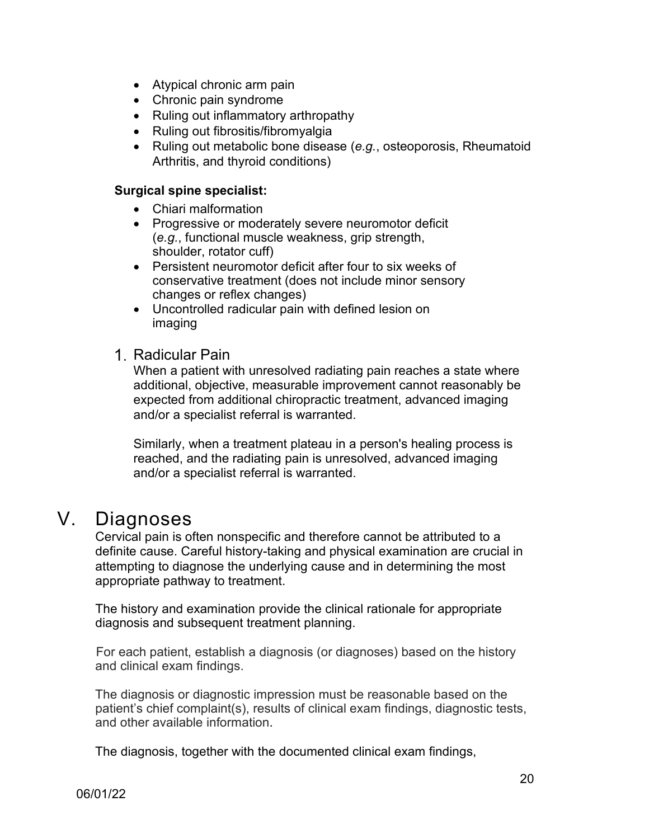- Atypical chronic arm pain
- Chronic pain syndrome
- Ruling out inflammatory arthropathy
- Ruling out fibrositis/fibromyalgia
- Ruling out metabolic bone disease (*e.g.*, osteoporosis, Rheumatoid Arthritis, and thyroid conditions)

#### **Surgical spine specialist:**

- Chiari malformation
- Progressive or moderately severe neuromotor deficit (*e.g.*, functional muscle weakness, grip strength, shoulder, rotator cuff)
- Persistent neuromotor deficit after four to six weeks of conservative treatment (does not include minor sensory changes or reflex changes)
- Uncontrolled radicular pain with defined lesion on imaging

#### <span id="page-19-0"></span>1. Radicular Pain

When a patient with unresolved radiating pain reaches a state where additional, objective, measurable improvement cannot reasonably be expected from additional chiropractic treatment, advanced imaging and/or a specialist referral is warranted.

Similarly, when a treatment plateau in a person's healing process is reached, and the radiating pain is unresolved, advanced imaging and/or a specialist referral is warranted.

# <span id="page-19-1"></span>V. Diagnoses

Cervical pain is often nonspecific and therefore cannot be attributed to a definite cause. Careful history-taking and physical examination are crucial in attempting to diagnose the underlying cause and in determining the most appropriate pathway to treatment.

The history and examination provide the clinical rationale for appropriate diagnosis and subsequent treatment planning.

For each patient, establish a diagnosis (or diagnoses) based on the history and clinical exam findings.

The diagnosis or diagnostic impression must be reasonable based on the patient's chief complaint(s), results of clinical exam findings, diagnostic tests, and other available information.

The diagnosis, together with the documented clinical exam findings,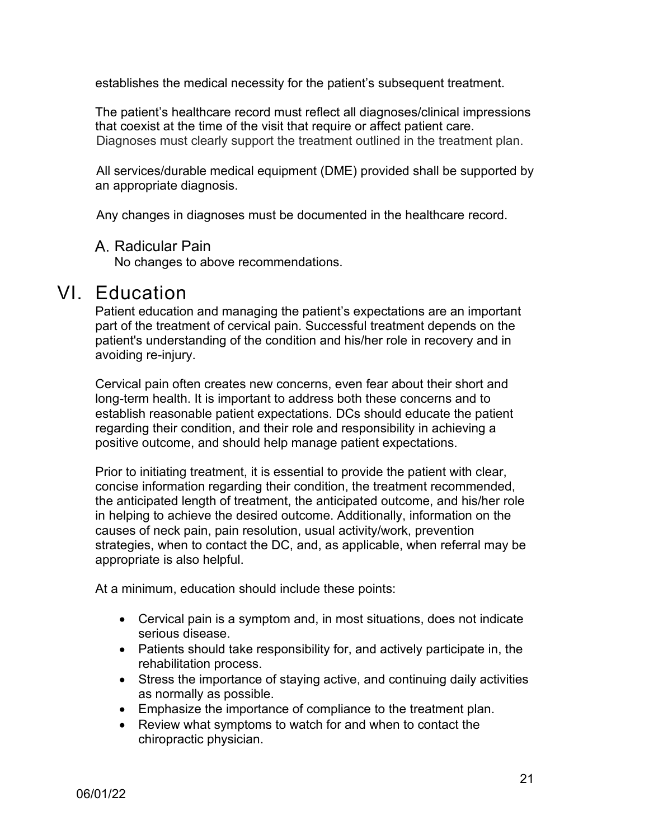establishes the medical necessity for the patient's subsequent treatment.

The patient's healthcare record must reflect all diagnoses/clinical impressions that coexist at the time of the visit that require or affect patient care. Diagnoses must clearly support the treatment outlined in the treatment plan.

All services/durable medical equipment (DME) provided shall be supported by an appropriate diagnosis.

Any changes in diagnoses must be documented in the healthcare record.

#### <span id="page-20-0"></span>A. Radicular Pain

No changes to above recommendations.

# <span id="page-20-1"></span>VI. Education

Patient education and managing the patient's expectations are an important part of the treatment of cervical pain. Successful treatment depends on the patient's understanding of the condition and his/her role in recovery and in avoiding re-injury.

Cervical pain often creates new concerns, even fear about their short and long-term health. It is important to address both these concerns and to establish reasonable patient expectations. DCs should educate the patient regarding their condition, and their role and responsibility in achieving a positive outcome, and should help manage patient expectations.

Prior to initiating treatment, it is essential to provide the patient with clear, concise information regarding their condition, the treatment recommended, the anticipated length of treatment, the anticipated outcome, and his/her role in helping to achieve the desired outcome. Additionally, information on the causes of neck pain, pain resolution, usual activity/work, prevention strategies, when to contact the DC, and, as applicable, when referral may be appropriate is also helpful.

At a minimum, education should include these points:

- Cervical pain is a symptom and, in most situations, does not indicate serious disease.
- Patients should take responsibility for, and actively participate in, the rehabilitation process.
- Stress the importance of staying active, and continuing daily activities as normally as possible.
- Emphasize the importance of compliance to the treatment plan.
- Review what symptoms to watch for and when to contact the chiropractic physician.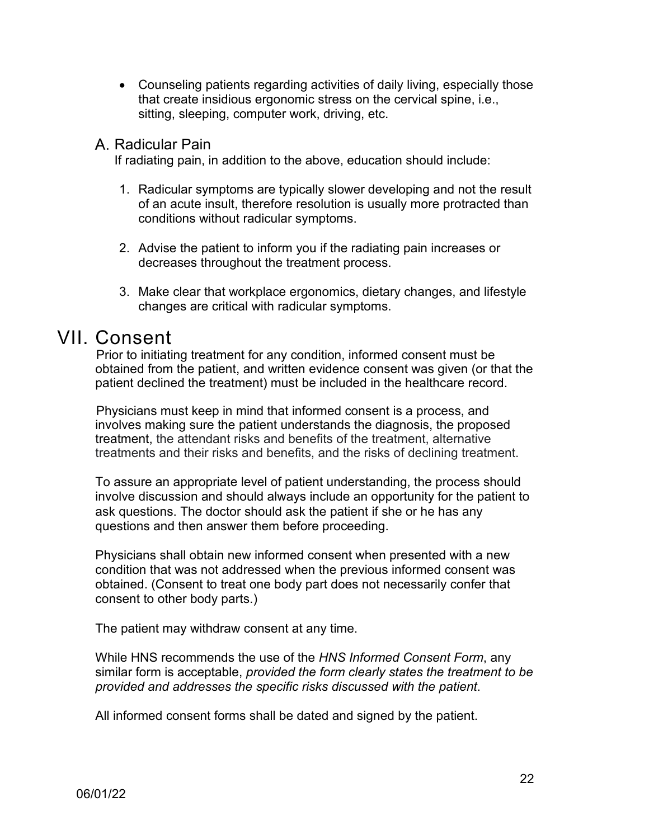• Counseling patients regarding activities of daily living, especially those that create insidious ergonomic stress on the cervical spine, i.e., sitting, sleeping, computer work, driving, etc.

### <span id="page-21-0"></span>A. Radicular Pain

If radiating pain, in addition to the above, education should include:

- 1. Radicular symptoms are typically slower developing and not the result of an acute insult, therefore resolution is usually more protracted than conditions without radicular symptoms.
- 2. Advise the patient to inform you if the radiating pain increases or decreases throughout the treatment process.
- 3. Make clear that workplace ergonomics, dietary changes, and lifestyle changes are critical with radicular symptoms.

# <span id="page-21-1"></span>VII. Consent

Prior to initiating treatment for any condition, informed consent must be obtained from the patient, and written evidence consent was given (or that the patient declined the treatment) must be included in the healthcare record.

Physicians must keep in mind that informed consent is a process, and involves making sure the patient understands the diagnosis, the proposed treatment, the attendant risks and benefits of the treatment, alternative treatments and their risks and benefits, and the risks of declining treatment.

To assure an appropriate level of patient understanding, the process should involve discussion and should always include an opportunity for the patient to ask questions. The doctor should ask the patient if she or he has any questions and then answer them before proceeding.

Physicians shall obtain new informed consent when presented with a new condition that was not addressed when the previous informed consent was obtained. (Consent to treat one body part does not necessarily confer that consent to other body parts.)

The patient may withdraw consent at any time.

While HNS recommends the use of the *HNS Informed Consent Form*, any similar form is acceptable, *provided the form clearly states the treatment to be provided and addresses the specific risks discussed with the patient*.

All informed consent forms shall be dated and signed by the patient.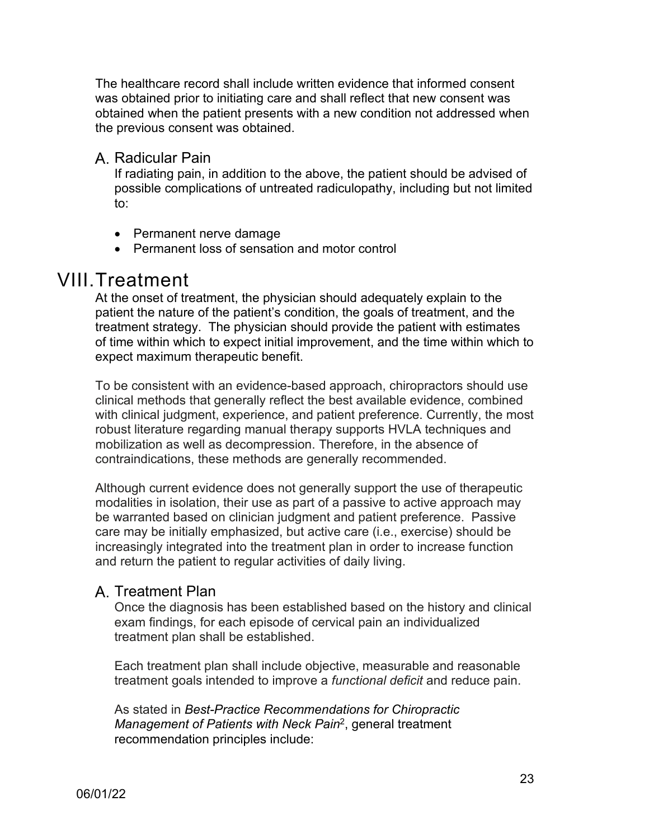The healthcare record shall include written evidence that informed consent was obtained prior to initiating care and shall reflect that new consent was obtained when the patient presents with a new condition not addressed when the previous consent was obtained.

<span id="page-22-0"></span>A. Radicular Pain

If radiating pain, in addition to the above, the patient should be advised of possible complications of untreated radiculopathy, including but not limited to:

- Permanent nerve damage
- Permanent loss of sensation and motor control

# <span id="page-22-1"></span>VIII.Treatment

At the onset of treatment, the physician should adequately explain to the patient the nature of the patient's condition, the goals of treatment, and the treatment strategy. The physician should provide the patient with estimates of time within which to expect initial improvement, and the time within which to expect maximum therapeutic benefit.

To be consistent with an evidence-based approach, chiropractors should use clinical methods that generally reflect the best available evidence, combined with clinical judgment, experience, and patient preference. Currently, the most robust literature regarding manual therapy supports HVLA techniques and mobilization as well as decompression. Therefore, in the absence of contraindications, these methods are generally recommended.

Although current evidence does not generally support the use of therapeutic modalities in isolation, their use as part of a passive to active approach may be warranted based on clinician judgment and patient preference. Passive care may be initially emphasized, but active care (i.e., exercise) should be increasingly integrated into the treatment plan in order to increase function and return the patient to regular activities of daily living.

# <span id="page-22-2"></span>A. Treatment Plan

Once the diagnosis has been established based on the history and clinical exam findings, for each episode of cervical pain an individualized treatment plan shall be established.

Each treatment plan shall include objective, measurable and reasonable treatment goals intended to improve a *functional deficit* and reduce pain.

As stated in *Best-Practice Recommendations for Chiropractic Management of Patients with Neck Pain*2, general treatment recommendation principles include: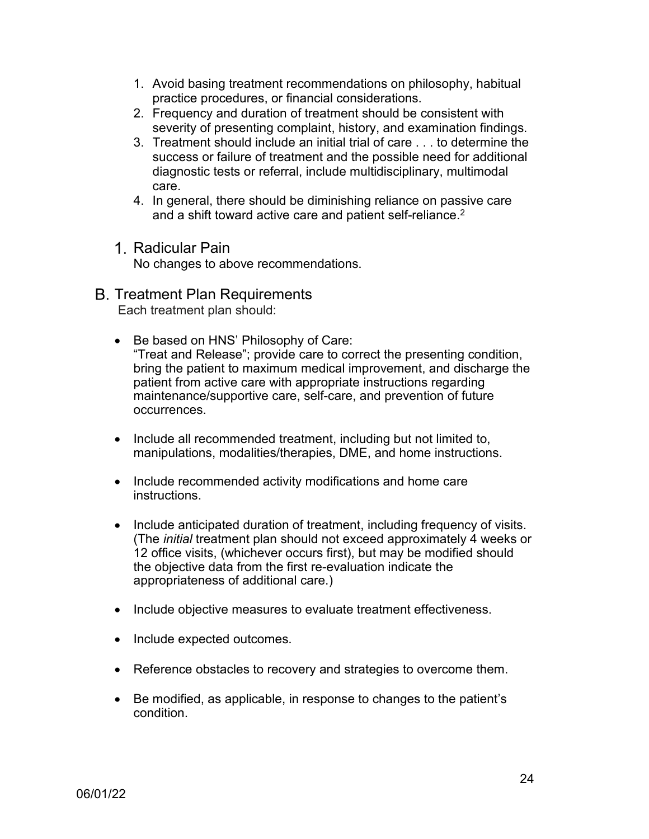- 1. Avoid basing treatment recommendations on philosophy, habitual practice procedures, or financial considerations.
- 2. Frequency and duration of treatment should be consistent with severity of presenting complaint, history, and examination findings.
- 3. Treatment should include an initial trial of care . . . to determine the success or failure of treatment and the possible need for additional diagnostic tests or referral, include multidisciplinary, multimodal care.
- 4. In general, there should be diminishing reliance on passive care and a shift toward active care and patient self-reliance.<sup>2</sup>
- <span id="page-23-0"></span>1. Radicular Pain

No changes to above recommendations.

<span id="page-23-1"></span>**B. Treatment Plan Requirements** 

Each treatment plan should:

- Be based on HNS' Philosophy of Care: "Treat and Release"; provide care to correct the presenting condition, bring the patient to maximum medical improvement, and discharge the patient from active care with appropriate instructions regarding maintenance/supportive care, self-care, and prevention of future occurrences.
- Include all recommended treatment, including but not limited to, manipulations, modalities/therapies, DME, and home instructions.
- Include recommended activity modifications and home care instructions.
- Include anticipated duration of treatment, including frequency of visits. (The *initial* treatment plan should not exceed approximately 4 weeks or 12 office visits, (whichever occurs first), but may be modified should the objective data from the first re-evaluation indicate the appropriateness of additional care.)
- Include objective measures to evaluate treatment effectiveness.
- Include expected outcomes.
- Reference obstacles to recovery and strategies to overcome them.
- Be modified, as applicable, in response to changes to the patient's condition.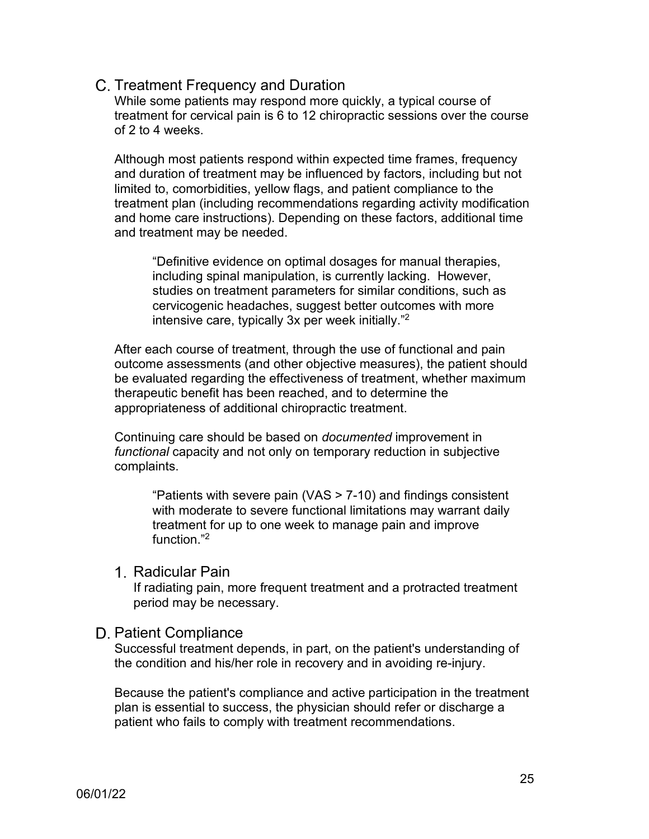#### <span id="page-24-0"></span>C. Treatment Frequency and Duration

While some patients may respond more quickly, a typical course of treatment for cervical pain is 6 to 12 chiropractic sessions over the course of 2 to 4 weeks.

Although most patients respond within expected time frames, frequency and duration of treatment may be influenced by factors, including but not limited to, comorbidities, yellow flags, and patient compliance to the treatment plan (including recommendations regarding activity modification and home care instructions). Depending on these factors, additional time and treatment may be needed.

"Definitive evidence on optimal dosages for manual therapies, including spinal manipulation, is currently lacking. However, studies on treatment parameters for similar conditions, such as cervicogenic headaches, suggest better outcomes with more intensive care, typically 3x per week initially." 2

After each course of treatment, through the use of functional and pain outcome assessments (and other objective measures), the patient should be evaluated regarding the effectiveness of treatment, whether maximum therapeutic benefit has been reached, and to determine the appropriateness of additional chiropractic treatment.

Continuing care should be based on *documented* improvement in *functional* capacity and not only on temporary reduction in subjective complaints.

"Patients with severe pain (VAS > 7-10) and findings consistent with moderate to severe functional limitations may warrant daily treatment for up to one week to manage pain and improve function<sup>"2</sup>

#### <span id="page-24-1"></span>1. Radicular Pain

If radiating pain, more frequent treatment and a protracted treatment period may be necessary.

#### <span id="page-24-2"></span>D. Patient Compliance

Successful treatment depends, in part, on the patient's understanding of the condition and his/her role in recovery and in avoiding re-injury.

Because the patient's compliance and active participation in the treatment plan is essential to success, the physician should refer or discharge a patient who fails to comply with treatment recommendations.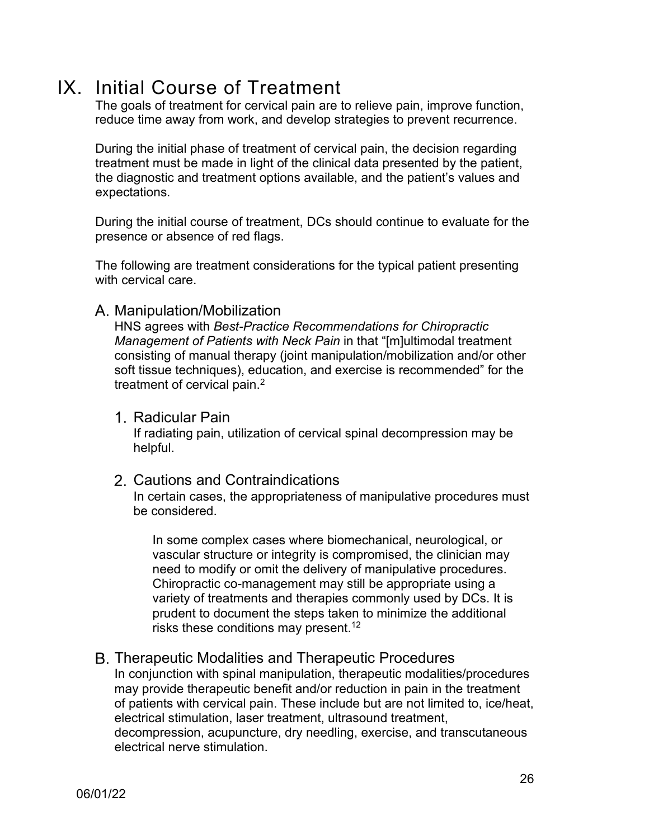# <span id="page-25-0"></span>IX. Initial Course of Treatment

The goals of treatment for cervical pain are to relieve pain, improve function, reduce time away from work, and develop strategies to prevent recurrence.

During the initial phase of treatment of cervical pain, the decision regarding treatment must be made in light of the clinical data presented by the patient, the diagnostic and treatment options available, and the patient's values and expectations.

During the initial course of treatment, DCs should continue to evaluate for the presence or absence of red flags.

The following are treatment considerations for the typical patient presenting with cervical care.

## <span id="page-25-1"></span>A. Manipulation/Mobilization

HNS agrees with *Best-Practice Recommendations for Chiropractic Management of Patients with Neck Pain* in that "[m]ultimodal treatment consisting of manual therapy (joint manipulation/mobilization and/or other soft tissue techniques), education, and exercise is recommended" for the treatment of cervical pain.<sup>2</sup>

<span id="page-25-2"></span>1. Radicular Pain

If radiating pain, utilization of cervical spinal decompression may be helpful.

## <span id="page-25-3"></span>2. Cautions and Contraindications

In certain cases, the appropriateness of manipulative procedures must be considered.

In some complex cases where biomechanical, neurological, or vascular structure or integrity is compromised, the clinician may need to modify or omit the delivery of manipulative procedures. Chiropractic co-management may still be appropriate using a variety of treatments and therapies commonly used by DCs. It is prudent to document the steps taken to minimize the additional risks these conditions may present.<sup>12</sup>

<span id="page-25-4"></span>**B. Therapeutic Modalities and Therapeutic Procedures** In conjunction with spinal manipulation, therapeutic modalities/procedures may provide therapeutic benefit and/or reduction in pain in the treatment of patients with cervical pain. These include but are not limited to, ice/heat, electrical stimulation, laser treatment, ultrasound treatment, decompression, acupuncture, dry needling, exercise, and transcutaneous electrical nerve stimulation.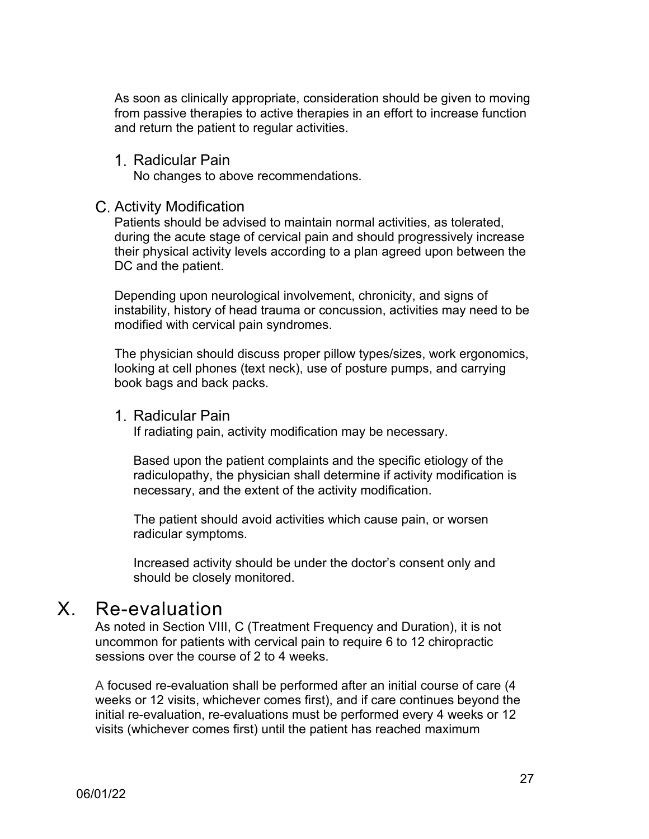As soon as clinically appropriate, consideration should be given to moving from passive therapies to active therapies in an effort to increase function and return the patient to regular activities.

<span id="page-26-0"></span>Radicular Pain

No changes to above recommendations.

#### <span id="page-26-1"></span>C. Activity Modification

Patients should be advised to maintain normal activities, as tolerated, during the acute stage of cervical pain and should progressively increase their physical activity levels according to a plan agreed upon between the DC and the patient.

Depending upon neurological involvement, chronicity, and signs of instability, history of head trauma or concussion, activities may need to be modified with cervical pain syndromes.

The physician should discuss proper pillow types/sizes, work ergonomics, looking at cell phones (text neck), use of posture pumps, and carrying book bags and back packs.

#### <span id="page-26-2"></span>1. Radicular Pain

If radiating pain, activity modification may be necessary.

Based upon the patient complaints and the specific etiology of the radiculopathy, the physician shall determine if activity modification is necessary, and the extent of the activity modification.

The patient should avoid activities which cause pain, or worsen radicular symptoms.

Increased activity should be under the doctor's consent only and should be closely monitored.

# <span id="page-26-3"></span>X. Re-evaluation

As noted in Section VIII, C (Treatment Frequency and Duration), it is not uncommon for patients with cervical pain to require 6 to 12 chiropractic sessions over the course of 2 to 4 weeks.

A focused re-evaluation shall be performed after an initial course of care (4 weeks or 12 visits, whichever comes first), and if care continues beyond the initial re-evaluation, re-evaluations must be performed every 4 weeks or 12 visits (whichever comes first) until the patient has reached maximum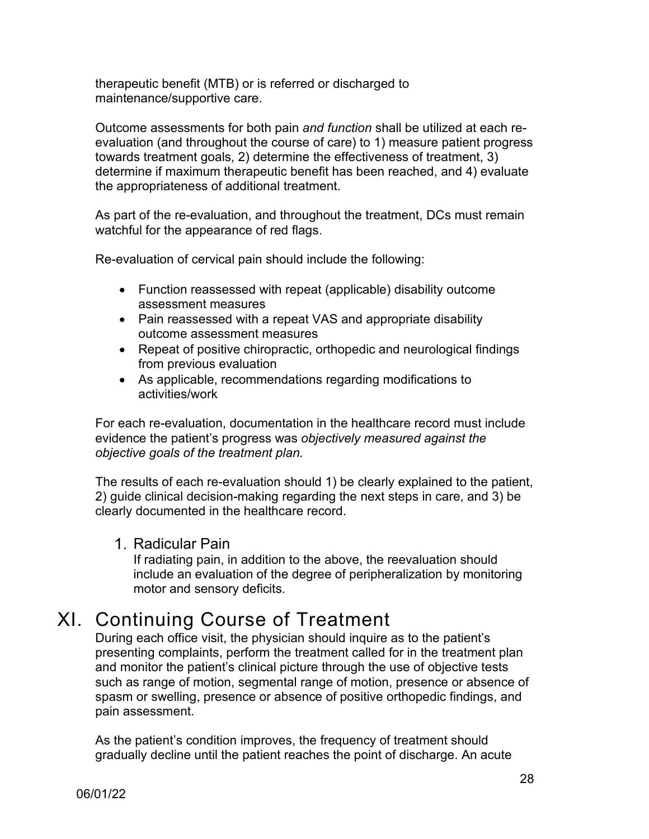therapeutic benefit (MTB) or is referred or discharged to maintenance/supportive care.

Outcome assessments for both pain *and function* shall be utilized at each reevaluation (and throughout the course of care) to 1) measure patient progress towards treatment goals, 2) determine the effectiveness of treatment, 3) determine if maximum therapeutic benefit has been reached, and 4) evaluate the appropriateness of additional treatment.

As part of the re-evaluation, and throughout the treatment, DCs must remain watchful for the appearance of red flags.

Re-evaluation of cervical pain should include the following:

- Function reassessed with repeat (applicable) disability outcome assessment measures
- Pain reassessed with a repeat VAS and appropriate disability outcome assessment measures
- Repeat of positive chiropractic, orthopedic and neurological findings from previous evaluation
- As applicable, recommendations regarding modifications to activities/work

For each re-evaluation, documentation in the healthcare record must include evidence the patient's progress was *objectively measured against the objective goals of the treatment plan.*

The results of each re-evaluation should 1) be clearly explained to the patient, 2) guide clinical decision-making regarding the next steps in care, and 3) be clearly documented in the healthcare record.

## <span id="page-27-0"></span>1. Radicular Pain

If radiating pain, in addition to the above, the reevaluation should include an evaluation of the degree of peripheralization by monitoring motor and sensory deficits.

# <span id="page-27-1"></span>XI. Continuing Course of Treatment

During each office visit, the physician should inquire as to the patient's presenting complaints, perform the treatment called for in the treatment plan and monitor the patient's clinical picture through the use of objective tests such as range of motion, segmental range of motion, presence or absence of spasm or swelling, presence or absence of positive orthopedic findings, and pain assessment.

As the patient's condition improves, the frequency of treatment should gradually decline until the patient reaches the point of discharge. An acute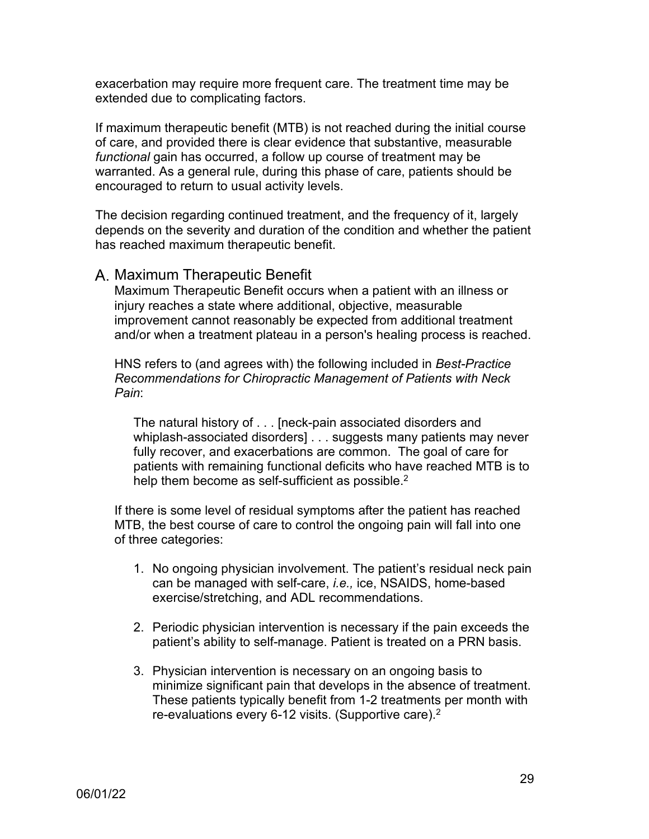exacerbation may require more frequent care. The treatment time may be extended due to complicating factors.

If maximum therapeutic benefit (MTB) is not reached during the initial course of care, and provided there is clear evidence that substantive, measurable *functional* gain has occurred, a follow up course of treatment may be warranted. As a general rule, during this phase of care, patients should be encouraged to return to usual activity levels.

The decision regarding continued treatment, and the frequency of it, largely depends on the severity and duration of the condition and whether the patient has reached maximum therapeutic benefit.

## <span id="page-28-0"></span>A. Maximum Therapeutic Benefit

Maximum Therapeutic Benefit occurs when a patient with an illness or injury reaches a state where additional, objective, measurable improvement cannot reasonably be expected from additional treatment and/or when a treatment plateau in a person's healing process is reached.

HNS refers to (and agrees with) the following included in *Best-Practice Recommendations for Chiropractic Management of Patients with Neck Pain*:

The natural history of . . . [neck-pain associated disorders and whiplash-associated disorders] . . . suggests many patients may never fully recover, and exacerbations are common. The goal of care for patients with remaining functional deficits who have reached MTB is to help them become as self-sufficient as possible.<sup>2</sup>

If there is some level of residual symptoms after the patient has reached MTB, the best course of care to control the ongoing pain will fall into one of three categories:

- 1. No ongoing physician involvement. The patient's residual neck pain can be managed with self-care, *i.e.,* ice, NSAIDS, home-based exercise/stretching, and ADL recommendations.
- 2. Periodic physician intervention is necessary if the pain exceeds the patient's ability to self-manage. Patient is treated on a PRN basis.
- 3. Physician intervention is necessary on an ongoing basis to minimize significant pain that develops in the absence of treatment. These patients typically benefit from 1-2 treatments per month with re-evaluations every 6-12 visits. (Supportive care). $^{\rm 2}$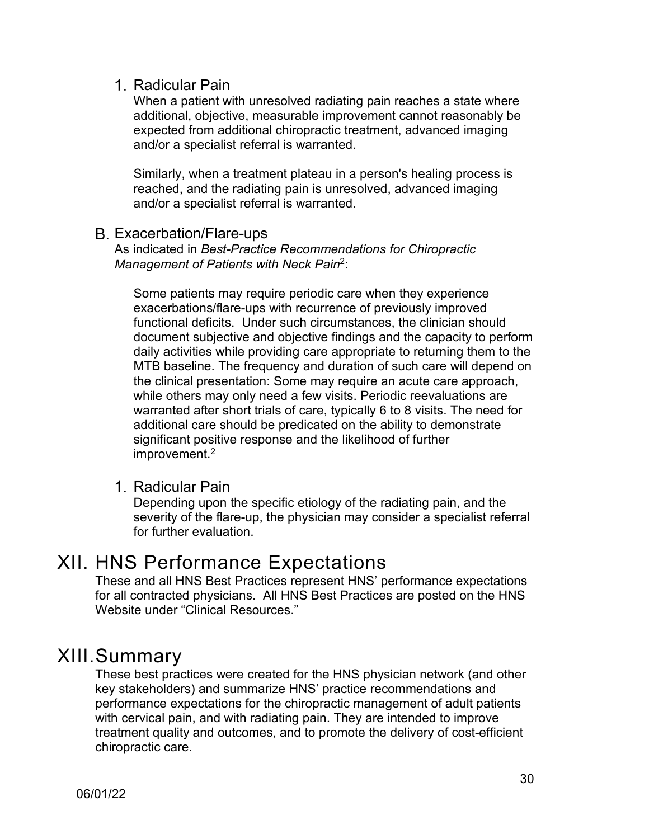## <span id="page-29-0"></span>1. Radicular Pain

When a patient with unresolved radiating pain reaches a state where additional, objective, measurable improvement cannot reasonably be expected from additional chiropractic treatment, advanced imaging and/or a specialist referral is warranted.

Similarly, when a treatment plateau in a person's healing process is reached, and the radiating pain is unresolved, advanced imaging and/or a specialist referral is warranted.

## <span id="page-29-1"></span>Exacerbation/Flare-ups

As indicated in *Best-Practice Recommendations for Chiropractic Management of Patients with Neck Pain*2:

Some patients may require periodic care when they experience exacerbations/flare-ups with recurrence of previously improved functional deficits. Under such circumstances, the clinician should document subjective and objective findings and the capacity to perform daily activities while providing care appropriate to returning them to the MTB baseline. The frequency and duration of such care will depend on the clinical presentation: Some may require an acute care approach, while others may only need a few visits. Periodic reevaluations are warranted after short trials of care, typically 6 to 8 visits. The need for additional care should be predicated on the ability to demonstrate significant positive response and the likelihood of further improvement.2

#### <span id="page-29-2"></span>1. Radicular Pain

Depending upon the specific etiology of the radiating pain, and the severity of the flare-up, the physician may consider a specialist referral for further evaluation.

# <span id="page-29-3"></span>XII. HNS Performance Expectations

These and all HNS Best Practices represent HNS' performance expectations for all contracted physicians. All HNS Best Practices are posted on the HNS Website under "Clinical Resources."

# <span id="page-29-4"></span>XIII.Summary

These best practices were created for the HNS physician network (and other key stakeholders) and summarize HNS' practice recommendations and performance expectations for the chiropractic management of adult patients with cervical pain, and with radiating pain. They are intended to improve treatment quality and outcomes, and to promote the delivery of cost-efficient chiropractic care.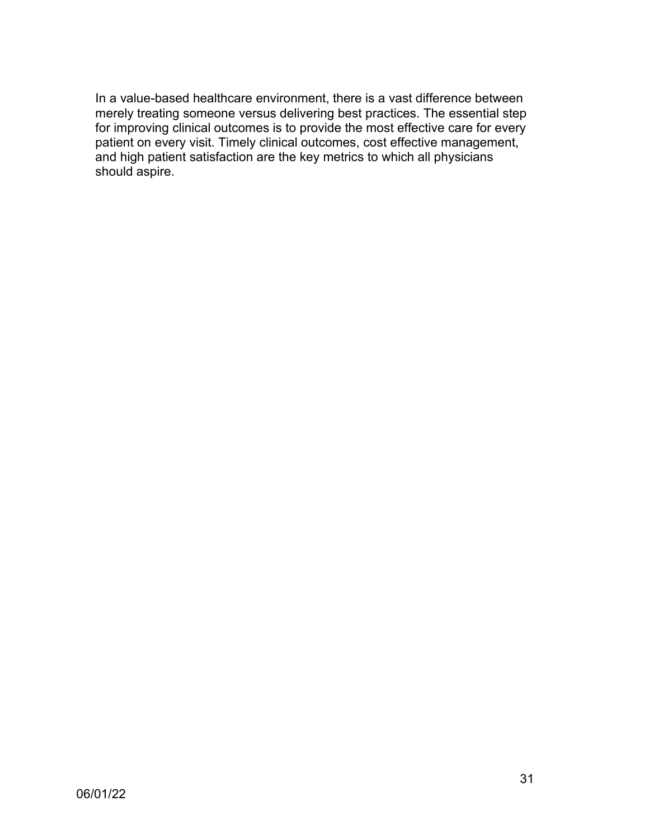In a value-based healthcare environment, there is a vast difference between merely treating someone versus delivering best practices. The essential step for improving clinical outcomes is to provide the most effective care for every patient on every visit. Timely clinical outcomes, cost effective management, and high patient satisfaction are the key metrics to which all physicians should aspire.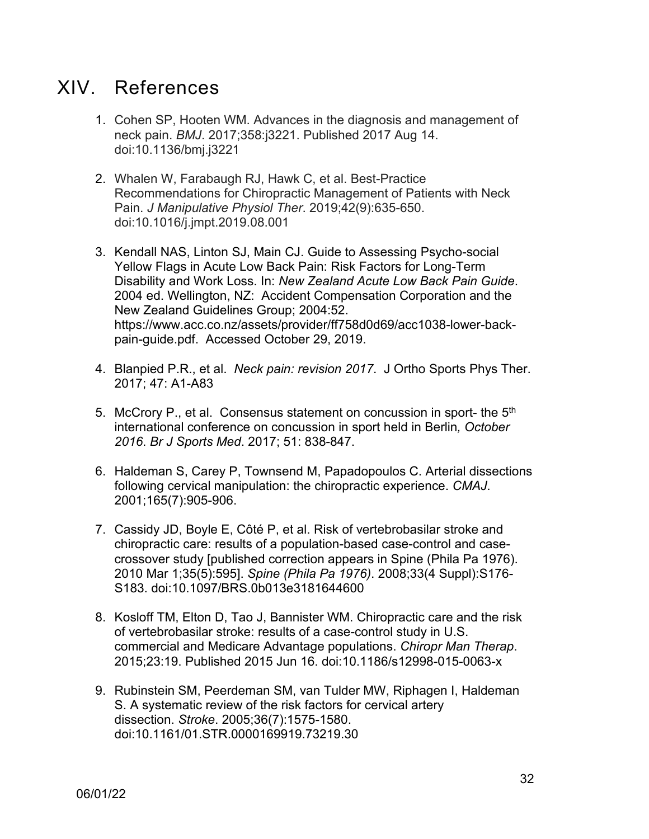# <span id="page-31-0"></span>XIV. References

- 1. Cohen SP, Hooten WM. Advances in the diagnosis and management of neck pain. *BMJ*. 2017;358:j3221. Published 2017 Aug 14. doi:10.1136/bmj.j3221
- 2. Whalen W, Farabaugh RJ, Hawk C, et al. Best-Practice Recommendations for Chiropractic Management of Patients with Neck Pain. *J Manipulative Physiol Ther*. 2019;42(9):635-650. doi:10.1016/j.jmpt.2019.08.001
- 3. Kendall NAS, Linton SJ, Main CJ. Guide to Assessing Psycho-social Yellow Flags in Acute Low Back Pain: Risk Factors for Long-Term Disability and Work Loss. In: *New Zealand Acute Low Back Pain Guide*. 2004 ed. Wellington, NZ: Accident Compensation Corporation and the New Zealand Guidelines Group; 2004:52. https://www.acc.co.nz/assets/provider/ff758d0d69/acc1038-lower-backpain-guide.pdf. Accessed October 29, 2019.
- 4. Blanpied P.R., et al. *Neck pain: revision 2017*. J Ortho Sports Phys Ther. 2017; 47: A1-A83
- 5. McCrory P., et al. Consensus statement on concussion in sport- the  $5<sup>th</sup>$ international conference on concussion in sport held in Berlin*, October 2016*. *Br J Sports Med*. 2017; 51: 838-847.
- 6. Haldeman S, Carey P, Townsend M, Papadopoulos C. Arterial dissections following cervical manipulation: the chiropractic experience. *CMAJ*. 2001;165(7):905-906.
- 7. Cassidy JD, Boyle E, Côté P, et al. Risk of vertebrobasilar stroke and chiropractic care: results of a population-based case-control and casecrossover study [published correction appears in Spine (Phila Pa 1976). 2010 Mar 1;35(5):595]. *Spine (Phila Pa 1976)*. 2008;33(4 Suppl):S176- S183. doi:10.1097/BRS.0b013e3181644600
- 8. Kosloff TM, Elton D, Tao J, Bannister WM. Chiropractic care and the risk of vertebrobasilar stroke: results of a case-control study in U.S. commercial and Medicare Advantage populations. *Chiropr Man Therap*. 2015;23:19. Published 2015 Jun 16. doi:10.1186/s12998-015-0063-x
- 9. Rubinstein SM, Peerdeman SM, van Tulder MW, Riphagen I, Haldeman S. A systematic review of the risk factors for cervical artery dissection. *Stroke*. 2005;36(7):1575-1580. doi:10.1161/01.STR.0000169919.73219.30